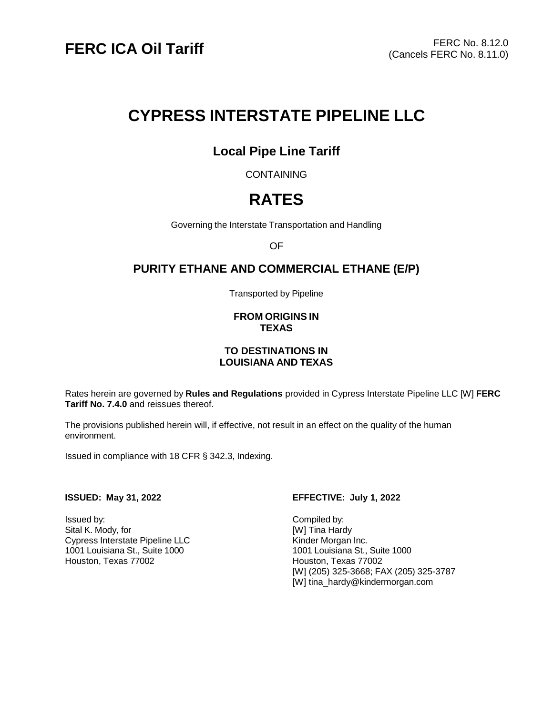# **CYPRESS INTERSTATE PIPELINE LLC**

# **Local Pipe Line Tariff**

**CONTAINING** 

# **RATES**

Governing the Interstate Transportation and Handling

OF

## **PURITY ETHANE AND COMMERCIAL ETHANE (E/P)**

Transported by Pipeline

#### **FROM ORIGINS IN TEXAS**

### **TO DESTINATIONS IN LOUISIANA AND TEXAS**

Rates herein are governed by **Rules and Regulations** provided in Cypress Interstate Pipeline LLC [W] **FERC Tariff No. 7.4.0** and reissues thereof.

The provisions published herein will, if effective, not result in an effect on the quality of the human environment.

Issued in compliance with 18 CFR § 342.3, Indexing.

Issued by: Compiled by: Sital K. Mody, for **Example 20** and Sital K. Mody, for Cypress Interstate Pipeline LLC Kinder Morgan Inc. 1001 Louisiana St., Suite 1000<br>
Houston, Texas 77002 1001 Houston, Texas 77002 Houston, Texas 77002

#### **ISSUED: May 31, 2022 EFFECTIVE: July 1, 2022**

[W] (205) 325-3668; FAX (205) 325-3787 [W] tina\_hard[y@kindermorgan.com](mailto:Tariff_Group@kindermorgan.com)